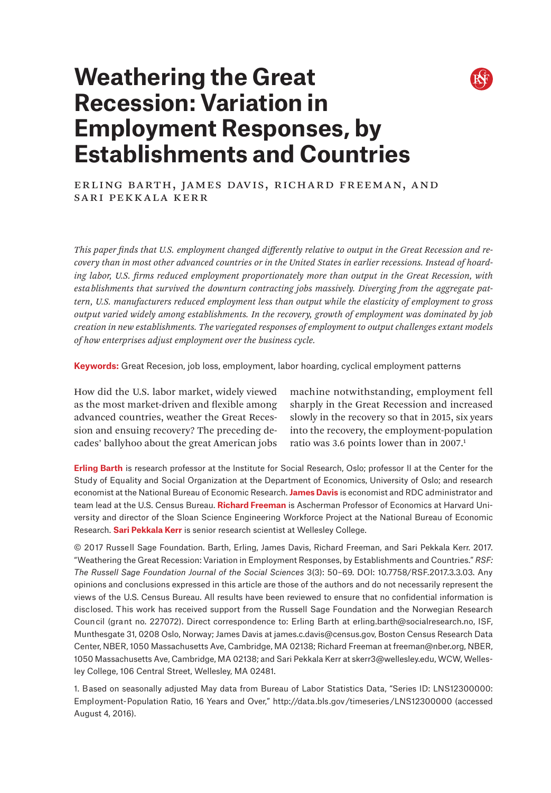# **Weathering the Great Recession: Variation in Employment Responses, by Establishments and Countries**



ERLING BARTH, JAMES DAVIS, RICHARD FREEMAN, AND Sari Pekkala Kerr

*This paper finds that U.S. employment changed differently relative to output in the Great Recession and recovery than in most other advanced countries or in the United States in earlier recessions. Instead of hoarding labor, U.S. firms reduced employment proportionately more than output in the Great Recession, with establishments that survived the downturn contracting jobs massively. Diverging from the aggregate pattern, U.S. manufacturers reduced employment less than output while the elasticity of employment to gross output varied widely among establishments. In the recovery, growth of employment was dominated by job creation in new establishments. The variegated responses of employment to output challenges extant models of how enterprises adjust employment over the business cycle.*

**Keywords:** Great Recesion, job loss, employment, labor hoarding, cyclical employment patterns

How did the U.S. labor market, widely viewed as the most market-driven and flexible among advanced countries, weather the Great Recession and ensuing recovery? The preceding decades' ballyhoo about the great American jobs

machine notwithstanding, employment fell sharply in the Great Recession and increased slowly in the recovery so that in 2015, six years into the recovery, the employment-population ratio was 3.6 points lower than in 2007.<sup>1</sup>

**Erling Barth** is research professor at the Institute for Social Research, Oslo; professor II at the Center for the Study of Equality and Social Organization at the Department of Economics, University of Oslo; and research economist at the National Bureau of Economic Research. **James Davis** is economist and RDC administrator and team lead at the U.S. Census Bureau. **Richard Freeman** is Ascherman Professor of Economics at Harvard University and director of the Sloan Science Engineering Workforce Project at the National Bureau of Economic Research. **Sari Pekkala Kerr** is senior research scientist at Wellesley College.

© 2017 Russell Sage Foundation. Barth, Erling, James Davis, Richard Freeman, and Sari Pekkala Kerr. 2017. "Weathering the Great Recession: Variation in Employment Responses, by Establishments and Countries." *RSF: The Russell Sage Foundation Journal of the Social Sciences* 3(3): 50–69. DOI: 10.7758/RSF.2017.3.3.03. Any opinions and conclusions expressed in this article are those of the authors and do not necessarily represent the views of the U.S. Census Bureau. All results have been reviewed to ensure that no confidential information is disclosed. This work has received support from the Russell Sage Foundation and the Norwegian Research Council (grant no. 227072). Direct correspondence to: [Erling Barth at erling.barth@socialresearch.no,](mailto:Erling%20Barth%20at%20erling.barth%40socialresearch.no?subject=) ISF, Munthesgate 31, 0208 Oslo, Norway; James Davis at [james.c.davis@census.gov,](mailto:james.c.davis%40census.gov?subject=) Boston Census Research Data Center, NBER, 1050 Massachusetts Ave, Cambridge, MA 02138; Richard Freeman at [freeman@nber.org](mailto:freeman%40nber.org?subject=), NBER, 1050 Massachusetts Ave, Cambridge, MA 02138; and Sari Pekkala Kerr at [skerr3@wellesley.edu,](mailto:skerr3%40wellesley.edu?subject=) WCW, Wellesley College, 106 Central Street, Wellesley, MA 02481.

1. Based on seasonally adjusted May data from Bureau of Labor Statistics Data, "Series ID: LNS12300000: Employment-Population Ratio, 16 Years and Over," <http://data.bls.gov/timeseries/LNS12300000> (accessed August 4, 2016).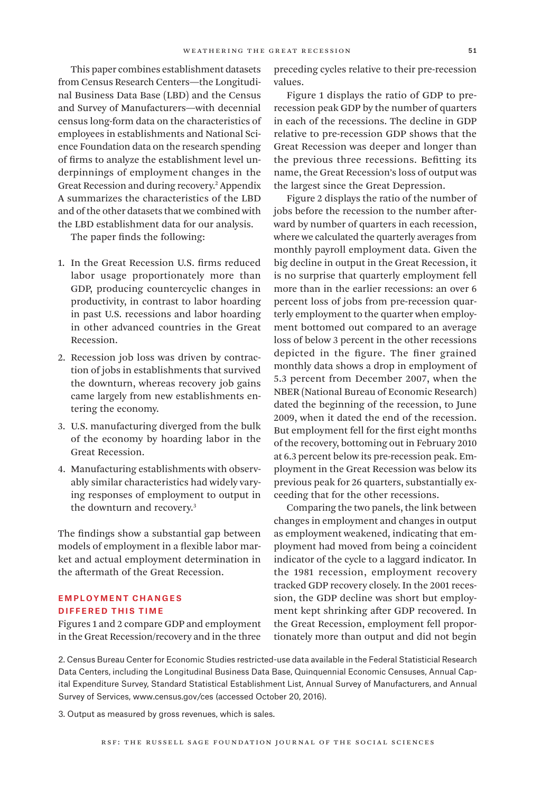This paper combines establishment datasets from Census Research Centers—the Longitudinal Business Data Base (LBD) and the Census and Survey of Manufacturers—with decennial census long-form data on the characteristics of employees in establishments and National Science Foundation data on the research spending of firms to analyze the establishment level underpinnings of employment changes in the Great Recession and during recovery.2 Appendix A summarizes the characteristics of the LBD and of the other datasets that we combined with the LBD establishment data for our analysis.

The paper finds the following:

- 1. In the Great Recession U.S. firms reduced labor usage proportionately more than GDP, producing countercyclic changes in productivity, in contrast to labor hoarding in past U.S. recessions and labor hoarding in other advanced countries in the Great Recession.
- 2. Recession job loss was driven by contraction of jobs in establishments that survived the downturn, whereas recovery job gains came largely from new establishments entering the economy.
- 3. U.S. manufacturing diverged from the bulk of the economy by hoarding labor in the Great Recession.
- 4. Manufacturing establishments with observably similar characteristics had widely varying responses of employment to output in the downturn and recovery.<sup>3</sup>

The findings show a substantial gap between models of employment in a flexible labor market and actual employment determination in the aftermath of the Great Recession.

## Employment Changes Differed This Time

Figures 1 and 2 compare GDP and employment in the Great Recession/recovery and in the three

preceding cycles relative to their pre-recession values.

Figure 1 displays the ratio of GDP to prerecession peak GDP by the number of quarters in each of the recessions. The decline in GDP relative to pre-recession GDP shows that the Great Recession was deeper and longer than the previous three recessions. Befitting its name, the Great Recession's loss of output was the largest since the Great Depression.

Figure 2 displays the ratio of the number of jobs before the recession to the number afterward by number of quarters in each recession, where we calculated the quarterly averages from monthly payroll employment data. Given the big decline in output in the Great Recession, it is no surprise that quarterly employment fell more than in the earlier recessions: an over 6 percent loss of jobs from pre-recession quarterly employment to the quarter when employment bottomed out compared to an average loss of below 3 percent in the other recessions depicted in the figure. The finer grained monthly data shows a drop in employment of 5.3 percent from December 2007, when the NBER (National Bureau of Economic Research) dated the beginning of the recession, to June 2009, when it dated the end of the recession. But employment fell for the first eight months of the recovery, bottoming out in February 2010 at 6.3 percent below its pre-recession peak. Employment in the Great Recession was below its previous peak for 26 quarters, substantially exceeding that for the other recessions.

Comparing the two panels, the link between changes in employment and changes in output as employment weakened, indicating that employment had moved from being a coincident indicator of the cycle to a laggard indicator. In the 1981 recession, employment recovery tracked GDP recovery closely. In the 2001 recession, the GDP decline was short but employment kept shrinking after GDP recovered. In the Great Recession, employment fell proportionately more than output and did not begin

2. Census Bureau Center for Economic Studies restricted-use data available in the Federal Statisticial Research Data Centers, including the Longitudinal Business Data Base, Quinquennial Economic Censuses, Annual Capital Expenditure Survey, Standard Statistical Establishment List, Annual Survey of Manufacturers, and Annual Survey of Services, <www.census.gov/ces>(accessed October 20, 2016).

3. Output as measured by gross revenues, which is sales.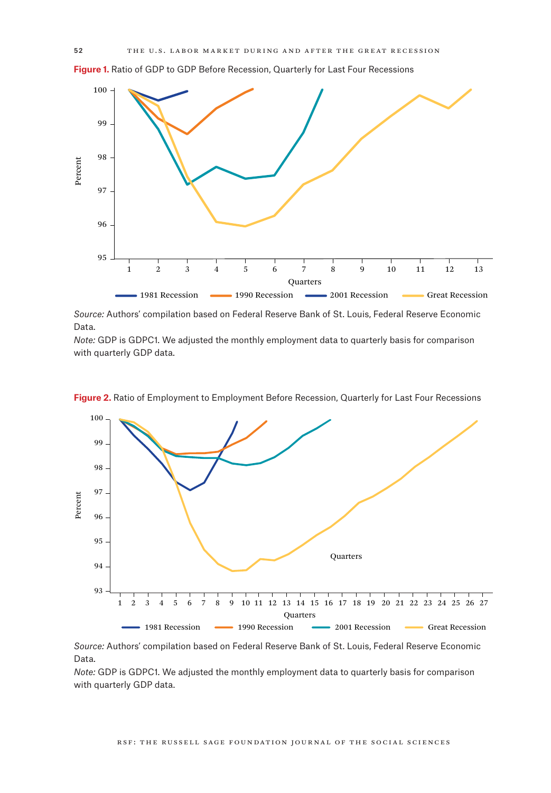**Figure 1.** Ratio of GDP to GDP Before Recession, Quarterly for Last Four Recessions



*Source:* Authors' compilation based on Federal Reserve Bank of St. Louis, Federal Reserve Economic Data.

*Note:* GDP is GDPC1. We adjusted the monthly employment data to quarterly basis for comparison with quarterly GDP data.



Figure 2. Ratio of Employment to Employment Before Recession, Quarterly for Last Four Recessions

*Source:* Authors' compilation based on Federal Reserve Bank of St. Louis, Federal Reserve Economic Data.

*Note:* GDP is GDPC1. We adjusted the monthly employment data to quarterly basis for comparison with quarterly GDP data.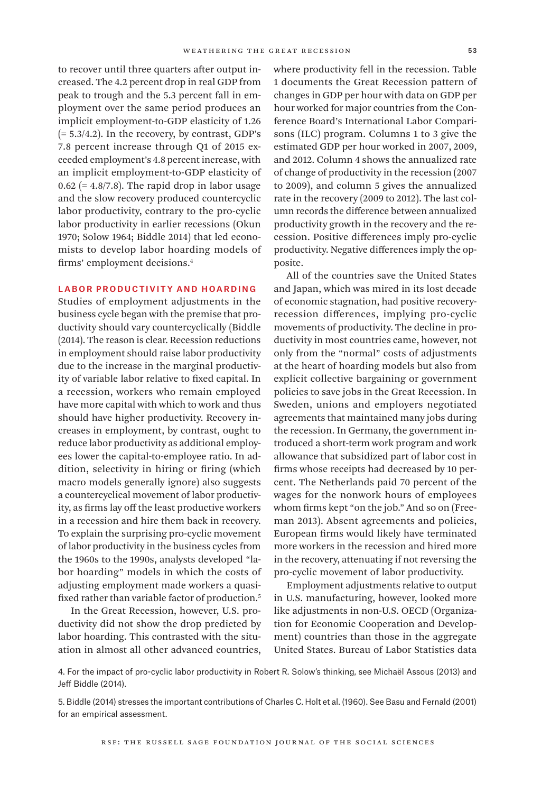to recover until three quarters after output increased. The 4.2 percent drop in real GDP from peak to trough and the 5.3 percent fall in employment over the same period produces an implicit employment-to-GDP elasticity of 1.26  $(= 5.3/4.2)$ . In the recovery, by contrast, GDP's 7.8 percent increase through Q1 of 2015 exceeded employment's 4.8 percent increase, with an implicit employment-to-GDP elasticity of  $0.62$  (= 4.8/7.8). The rapid drop in labor usage and the slow recovery produced countercyclic labor productivity, contrary to the pro-cyclic labor productivity in earlier recessions (Okun 1970; Solow 1964; Biddle 2014) that led economists to develop labor hoarding models of firms' employment decisions.4

### Labor Productivity and Hoarding

Studies of employment adjustments in the business cycle began with the premise that productivity should vary countercyclically (Biddle (2014). The reason is clear. Recession reductions in employment should raise labor productivity due to the increase in the marginal productivity of variable labor relative to fixed capital. In a recession, workers who remain employed have more capital with which to work and thus should have higher productivity. Recovery increases in employment, by contrast, ought to reduce labor productivity as additional employees lower the capital-to-employee ratio. In addition, selectivity in hiring or firing (which macro models generally ignore) also suggests a countercyclical movement of labor productivity, as firms lay off the least productive workers in a recession and hire them back in recovery. To explain the surprising pro-cyclic movement of labor productivity in the business cycles from the 1960s to the 1990s, analysts developed "labor hoarding" models in which the costs of adjusting employment made workers a quasifixed rather than variable factor of production.<sup>5</sup>

In the Great Recession, however, U.S. productivity did not show the drop predicted by labor hoarding. This contrasted with the situation in almost all other advanced countries,

where productivity fell in the recession. Table 1 documents the Great Recession pattern of changes in GDP per hour with data on GDP per hour worked for major countries from the Conference Board's International Labor Comparisons (ILC) program. Columns 1 to 3 give the estimated GDP per hour worked in 2007, 2009, and 2012. Column 4 shows the annualized rate of change of productivity in the recession (2007 to 2009), and column 5 gives the annualized rate in the recovery (2009 to 2012). The last column records the difference between annualized productivity growth in the recovery and the recession. Positive differences imply pro-cyclic productivity. Negative differences imply the opposite.

All of the countries save the United States and Japan, which was mired in its lost decade of economic stagnation, had positive recoveryrecession differences, implying pro-cyclic movements of productivity. The decline in productivity in most countries came, however, not only from the "normal" costs of adjustments at the heart of hoarding models but also from explicit collective bargaining or government policies to save jobs in the Great Recession. In Sweden, unions and employers negotiated agreements that maintained many jobs during the recession. In Germany, the government introduced a short-term work program and work allowance that subsidized part of labor cost in firms whose receipts had decreased by 10 percent. The Netherlands paid 70 percent of the wages for the nonwork hours of employees whom firms kept "on the job." And so on (Freeman 2013). Absent agreements and policies, European firms would likely have terminated more workers in the recession and hired more in the recovery, attenuating if not reversing the pro-cyclic movement of labor productivity.

Employment adjustments relative to output in U.S. manufacturing, however, looked more like adjustments in non-U.S. OECD (Organization for Economic Cooperation and Development) countries than those in the aggregate United States. Bureau of Labor Statistics data

4. For the impact of pro-cyclic labor productivity in Robert R. Solow's thinking, see Michaël Assous (2013) and Jeff Biddle (2014).

5. Biddle (2014) stresses the important contributions of Charles C. Holt et al. (1960). See Basu and Fernald (2001) for an empirical assessment.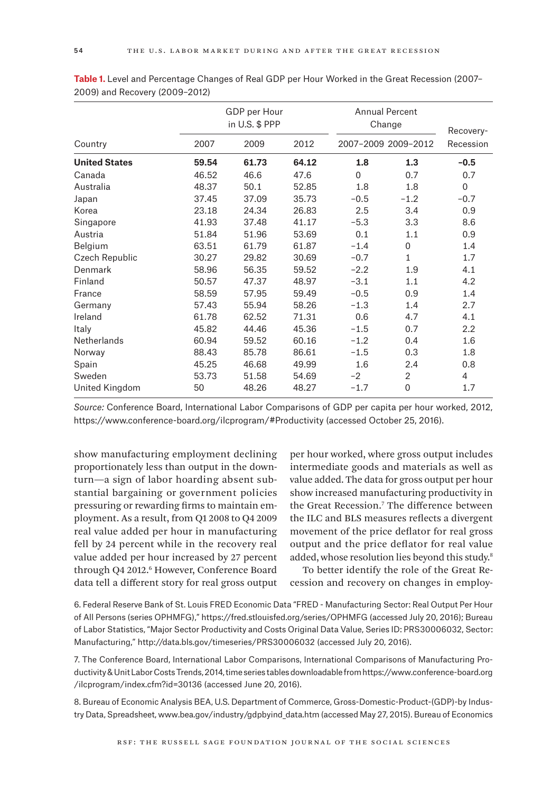|                      |       | GDP per Hour<br>in U.S. \$ PPP |       |          | <b>Annual Percent</b><br>Change |                        |
|----------------------|-------|--------------------------------|-------|----------|---------------------------------|------------------------|
| Country              | 2007  | 2009                           | 2012  |          | 2007-2009 2009-2012             | Recovery-<br>Recession |
| <b>United States</b> | 59.54 | 61.73                          | 64.12 | 1.8      | 1.3                             | $-0.5$                 |
| Canada               | 46.52 | 46.6                           | 47.6  | $\Omega$ | 0.7                             | 0.7                    |
| Australia            | 48.37 | 50.1                           | 52.85 | 1.8      | 1.8                             | $\mathbf 0$            |
| Japan                | 37.45 | 37.09                          | 35.73 | $-0.5$   | $-1.2$                          | $-0.7$                 |
| Korea                | 23.18 | 24.34                          | 26.83 | 2.5      | 3.4                             | 0.9                    |
| Singapore            | 41.93 | 37.48                          | 41.17 | $-5.3$   | 3.3                             | 8.6                    |
| Austria              | 51.84 | 51.96                          | 53.69 | 0.1      | 1.1                             | 0.9                    |
| Belgium              | 63.51 | 61.79                          | 61.87 | $-1.4$   | 0                               | 1.4                    |
| Czech Republic       | 30.27 | 29.82                          | 30.69 | $-0.7$   | $\mathbf{1}$                    | 1.7                    |
| Denmark              | 58.96 | 56.35                          | 59.52 | $-2.2$   | 1.9                             | 4.1                    |
| Finland              | 50.57 | 47.37                          | 48.97 | $-3.1$   | 1.1                             | 4.2                    |
| France               | 58.59 | 57.95                          | 59.49 | $-0.5$   | 0.9                             | 1.4                    |
| Germany              | 57.43 | 55.94                          | 58.26 | $-1.3$   | 1.4                             | 2.7                    |
| Ireland              | 61.78 | 62.52                          | 71.31 | 0.6      | 4.7                             | 4.1                    |
| Italy                | 45.82 | 44.46                          | 45.36 | $-1.5$   | 0.7                             | 2.2                    |
| <b>Netherlands</b>   | 60.94 | 59.52                          | 60.16 | $-1.2$   | 0.4                             | 1.6                    |
| Norway               | 88.43 | 85.78                          | 86.61 | $-1.5$   | 0.3                             | 1.8                    |
| Spain                | 45.25 | 46.68                          | 49.99 | 1.6      | 2.4                             | 0.8                    |
| Sweden               | 53.73 | 51.58                          | 54.69 | $-2$     | $\overline{2}$                  | 4                      |
| United Kingdom       | 50    | 48.26                          | 48.27 | $-1.7$   | 0                               | 1.7                    |

**Table 1.** Level and Percentage Changes of Real GDP per Hour Worked in the Great Recession (2007– 2009) and Recovery (2009–2012)

*Source:* Conference Board, International Labor Comparisons of GDP per capita per hour worked, 2012, <https://www.conference-board.org/ilcprogram/#Productivity>(accessed October 25, 2016).

show manufacturing employment declining proportionately less than output in the downturn—a sign of labor hoarding absent substantial bargaining or government policies pressuring or rewarding firms to maintain employment. As a result, from Q1 2008 to Q4 2009 real value added per hour in manufacturing fell by 24 percent while in the recovery real value added per hour increased by 27 percent through Q4 2012.<sup>6</sup> However, Conference Board data tell a different story for real gross output per hour worked, where gross output includes intermediate goods and materials as well as value added. The data for gross output per hour show increased manufacturing productivity in the Great Recession.7 The difference between the ILC and BLS measures reflects a divergent movement of the price deflator for real gross output and the price deflator for real value added, whose resolution lies beyond this study.<sup>8</sup>

To better identify the role of the Great Recession and recovery on changes in employ-

6. Federal Reserve Bank of St. Louis FRED Economic Data "FRED - Manufacturing Sector: Real Output Per Hour of All Persons (series OPHMFG)," <https://fred.stlouisfed.org/series/OPHMFG> (accessed July 20, 2016); Bureau of Labor Statistics, "Major Sector Productivity and Costs Original Data Value, Series ID: PRS30006032, Sector: Manufacturing,"<http://data.bls.gov/timeseries/PRS30006032> (accessed July 20, 2016).

7. The Conference Board, International Labor Comparisons, International Comparisons of Manufacturing Productivity & Unit Labor Costs Trends, 2014, time series tables downloadable from [https://www.conference-board.org](https://www.conference-board.org/ilcprogram/index.cfm?id=30136) [/ilcprogram/index.cfm?id=30136](https://www.conference-board.org/ilcprogram/index.cfm?id=30136) (accessed June 20, 2016).

8. Bureau of Economic Analysis BEA, U.S. Department of Commerce, Gross-Domestic-Product-(GDP)-by Industry Data, Spreadsheet, [www.bea.gov/industry/gdpbyind\\_data.htm](www.bea.gov/industry/gdpbyind_data.htm) (accessed May 27, 2015). Bureau of Economics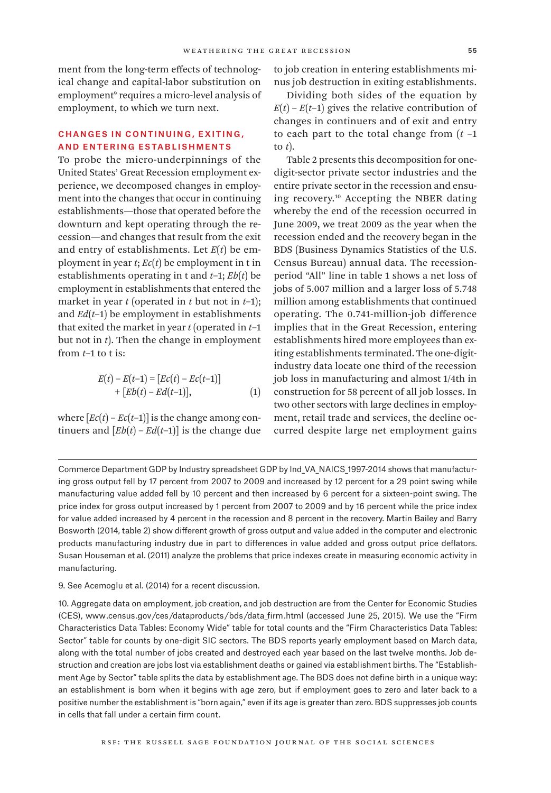ment from the long-term effects of technological change and capital-labor substitution on employment<sup>9</sup> requires a micro-level analysis of employment, to which we turn next.

# Changes in Continuing, Exiting, and Entering Establishments

To probe the micro-underpinnings of the United States' Great Recession employment experience, we decomposed changes in employment into the changes that occur in continuing establishments—those that operated before the downturn and kept operating through the recession—and changes that result from the exit and entry of establishments. Let *E*(*t*) be employment in year *t*; *Ec*(*t*) be employment in t in establishments operating in t and *t*–1; *Eb*(*t*) be employment in establishments that entered the market in year *t* (operated in *t* but not in *t*–1); and  $Ed(t-1)$  be employment in establishments that exited the market in year *t* (operated in *t*–1 but not in *t*). Then the change in employment from *t*–1 to t is:

$$
E(t) - E(t-1) = [Ec(t) - Ec(t-1)]+ [Eb(t) - Ed(t-1)], \tag{1}
$$

where  $\left[Ec(t) - Ec(t-1)\right]$  is the change among continuers and  $[Eb(t) - Ed(t-1)]$  is the change due to job creation in entering establishments minus job destruction in exiting establishments.

Dividing both sides of the equation by  $E(t) - E(t-1)$  gives the relative contribution of changes in continuers and of exit and entry to each part to the total change from (*t* –1 to *t*).

Table 2 presents this decomposition for onedigit-sector private sector industries and the entire private sector in the recession and ensuing recovery.10 Accepting the NBER dating whereby the end of the recession occurred in June 2009, we treat 2009 as the year when the recession ended and the recovery began in the BDS (Business Dynamics Statistics of the U.S. Census Bureau) annual data. The recessionperiod "All" line in table 1 shows a net loss of jobs of 5.007 million and a larger loss of 5.748 million among establishments that continued operating. The 0.741-million-job difference implies that in the Great Recession, entering establishments hired more employees than exiting establishments terminated. The one-digitindustry data locate one third of the recession job loss in manufacturing and almost 1/4th in construction for 58 percent of all job losses. In two other sectors with large declines in employment, retail trade and services, the decline occurred despite large net employment gains

Commerce Department GDP by Industry spreadsheet GDP by Ind\_VA\_NAICS\_1997-2014 shows that manufacturing gross output fell by 17 percent from 2007 to 2009 and increased by 12 percent for a 29 point swing while manufacturing value added fell by 10 percent and then increased by 6 percent for a sixteen-point swing. The price index for gross output increased by 1 percent from 2007 to 2009 and by 16 percent while the price index for value added increased by 4 percent in the recession and 8 percent in the recovery. Martin Bailey and Barry Bosworth (2014, table 2) show different growth of gross output and value added in the computer and electronic products manufacturing industry due in part to differences in value added and gross output price deflators. Susan Houseman et al. (2011) analyze the problems that price indexes create in measuring economic activity in manufacturing.

<sup>9.</sup> See Acemoglu et al. (2014) for a recent discussion.

<sup>10.</sup> Aggregate data on employment, job creation, and job destruction are from the Center for Economic Studies (CES), www.census.gov/ces/dataproducts/bds/data firm.html (accessed June 25, 2015). We use the "Firm Characteristics Data Tables: Economy Wide" table for total counts and the "Firm Characteristics Data Tables: Sector" table for counts by one-digit SIC sectors. The BDS reports yearly employment based on March data, along with the total number of jobs created and destroyed each year based on the last twelve months. Job destruction and creation are jobs lost via establishment deaths or gained via establishment births. The "Establishment Age by Sector" table splits the data by establishment age. The BDS does not define birth in a unique way: an establishment is born when it begins with age zero, but if employment goes to zero and later back to a positive number the establishment is "born again," even if its age is greater than zero. BDS suppresses job counts in cells that fall under a certain firm count.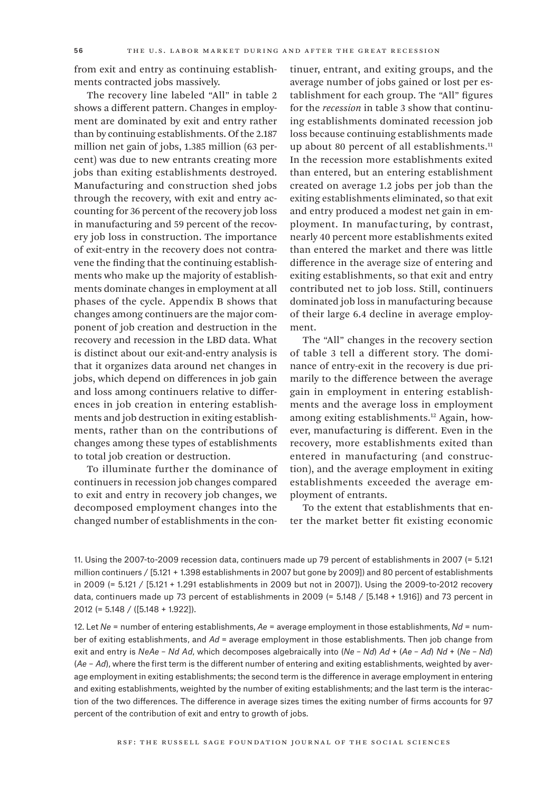from exit and entry as continuing establishments contracted jobs massively.

The recovery line labeled "All" in table 2 shows a different pattern. Changes in employment are dominated by exit and entry rather than by continuing establishments. Of the 2.187 million net gain of jobs, 1.385 million (63 percent) was due to new entrants creating more jobs than exiting establishments destroyed. Manufacturing and construction shed jobs through the recovery, with exit and entry accounting for 36 percent of the recovery job loss in manufacturing and 59 percent of the recovery job loss in construction. The importance of exit-entry in the recovery does not contravene the finding that the continuing establishments who make up the majority of establishments dominate changes in employment at all phases of the cycle. Appendix B shows that changes among continuers are the major component of job creation and destruction in the recovery and recession in the LBD data. What is distinct about our exit-and-entry analysis is that it organizes data around net changes in jobs, which depend on differences in job gain and loss among continuers relative to differences in job creation in entering establishments and job destruction in exiting establishments, rather than on the contributions of changes among these types of establishments to total job creation or destruction.

To illuminate further the dominance of continuers in recession job changes compared to exit and entry in recovery job changes, we decomposed employment changes into the changed number of establishments in the continuer, entrant, and exiting groups, and the average number of jobs gained or lost per establishment for each group. The "All" figures for the *recession* in table 3 show that continuing establishments dominated recession job loss because continuing establishments made up about 80 percent of all establishments.<sup>11</sup> In the recession more establishments exited than entered, but an entering establishment created on average 1.2 jobs per job than the exiting establishments eliminated, so that exit and entry produced a modest net gain in employment. In manufacturing, by contrast, nearly 40 percent more establishments exited than entered the market and there was little difference in the average size of entering and exiting establishments, so that exit and entry contributed net to job loss. Still, continuers dominated job loss in manufacturing because of their large 6.4 decline in average employment.

The "All" changes in the recovery section of table 3 tell a different story. The dominance of entry-exit in the recovery is due primarily to the difference between the average gain in employment in entering establishments and the average loss in employment among exiting establishments.<sup>12</sup> Again, however, manufacturing is different. Even in the recovery, more establishments exited than entered in manufacturing (and construction), and the average employment in exiting establishments exceeded the average employment of entrants.

To the extent that establishments that enter the market better fit existing economic

11. Using the 2007-to-2009 recession data, continuers made up 79 percent of establishments in 2007 (= 5.121 million continuers / [5.121 + 1.398 establishments in 2007 but gone by 2009]) and 80 percent of establishments in 2009 (= 5.121 / [5.121 + 1.291 establishments in 2009 but not in 2007]). Using the 2009-to-2012 recovery data, continuers made up 73 percent of establishments in 2009 (= 5.148 / [5.148 + 1.916]) and 73 percent in 2012 (= 5.148 / ([5.148 + 1.922]).

12. Let *Ne* = number of entering establishments, *Ae* = average employment in those establishments, *Nd* = number of exiting establishments, and *Ad* = average employment in those establishments. Then job change from exit and entry is *NeAe* – *Nd Ad*, which decomposes algebraically into (*Ne* – *Nd*) *Ad* + (*Ae* – *Ad*) *Nd* + (*Ne* – *Nd*) (*Ae* – *Ad*), where the first term is the different number of entering and exiting establishments, weighted by average employment in exiting establishments; the second term is the difference in average employment in entering and exiting establishments, weighted by the number of exiting establishments; and the last term is the interaction of the two differences. The difference in average sizes times the exiting number of firms accounts for 97 percent of the contribution of exit and entry to growth of jobs.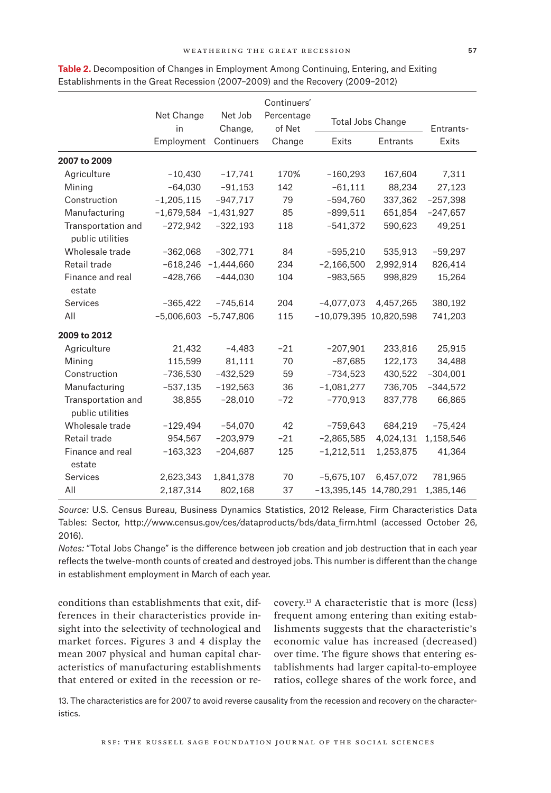|                                        |                                                                                            |              | Continuers' |                        |            |            |  |
|----------------------------------------|--------------------------------------------------------------------------------------------|--------------|-------------|------------------------|------------|------------|--|
|                                        | Net Change<br>Net Job<br>Percentage<br><b>Total Jobs Change</b><br>of Net<br>Change,<br>in |              |             | Entrants-              |            |            |  |
|                                        | Employment                                                                                 | Continuers   | Change      | Exits                  | Entrants   | Exits      |  |
| 2007 to 2009                           |                                                                                            |              |             |                        |            |            |  |
| Agriculture                            | $-10,430$                                                                                  | $-17,741$    | 170%        | $-160,293$             | 167,604    | 7,311      |  |
| Mining                                 | $-64,030$                                                                                  | $-91,153$    | 142         | $-61,111$              | 88,234     | 27,123     |  |
| Construction                           | $-1,205,115$                                                                               | $-947,717$   | 79          | $-594,760$             | 337,362    | $-257,398$ |  |
| Manufacturing                          | $-1,679,584$                                                                               | $-1,431,927$ | 85          | $-899,511$             | 651,854    | $-247,657$ |  |
| Transportation and<br>public utilities | $-272,942$                                                                                 | $-322,193$   | 118         | $-541,372$             | 590,623    | 49,251     |  |
| Wholesale trade                        | $-362,068$                                                                                 | $-302,771$   | 84          | $-595,210$             | 535,913    | $-59,297$  |  |
| Retail trade                           | $-618,246$                                                                                 | $-1,444,660$ | 234         | $-2,166,500$           | 2,992,914  | 826,414    |  |
| Finance and real<br>estate             | $-428,766$                                                                                 | $-444,030$   | 104         | $-983,565$             | 998,829    | 15,264     |  |
| Services                               | $-365,422$                                                                                 | $-745,614$   | 204         | $-4,077,073$           | 4,457,265  | 380,192    |  |
| All                                    | $-5,006,603$                                                                               | $-5,747,806$ | 115         | -10,079,395 10,820,598 |            | 741,203    |  |
| 2009 to 2012                           |                                                                                            |              |             |                        |            |            |  |
| Agriculture                            | 21,432                                                                                     | $-4,483$     | $-21$       | $-207,901$             | 233,816    | 25,915     |  |
| Mining                                 | 115,599                                                                                    | 81,111       | 70          | $-87,685$              | 122,173    | 34,488     |  |
| Construction                           | $-736,530$                                                                                 | $-432,529$   | 59          | $-734,523$             | 430,522    | $-304,001$ |  |
| Manufacturing                          | $-537,135$                                                                                 | $-192,563$   | 36          | $-1,081,277$           | 736,705    | $-344,572$ |  |
| Transportation and<br>public utilities | 38,855                                                                                     | $-28,010$    | $-72$       | $-770,913$             | 837,778    | 66,865     |  |
| Wholesale trade                        | $-129,494$                                                                                 | $-54,070$    | 42          | $-759,643$             | 684,219    | $-75,424$  |  |
| Retail trade                           | 954,567                                                                                    | $-203,979$   | $-21$       | $-2,865,585$           | 4,024,131  | 1,158,546  |  |
| Finance and real<br>estate             | $-163,323$                                                                                 | $-204,687$   | 125         | $-1,212,511$           | 1,253,875  | 41,364     |  |
| <b>Services</b>                        | 2,623,343                                                                                  | 1,841,378    | 70          | $-5,675,107$           | 6,457,072  | 781,965    |  |
| All                                    | 2,187,314                                                                                  | 802,168      | 37          | $-13,395,145$          | 14,780,291 | 1,385,146  |  |

**Table 2.** Decomposition of Changes in Employment Among Continuing, Entering, and Exiting Establishments in the Great Recession (2007–2009) and the Recovery (2009–2012)

*Source:* U.S. Census Bureau, Business Dynamics Statistics, 2012 Release, Firm Characteristics Data Tables: Sector, [http://www.census.gov/ces/dataproducts/bds/data\\_firm.html](http://www.census.gov/ces/dataproducts/bds/data_firm.html) (accessed October 26, 2016).

*Notes:* "Total Jobs Change" is the difference between job creation and job destruction that in each year reflects the twelve-month counts of created and destroyed jobs. This number is different than the change in establishment employment in March of each year.

conditions than establishments that exit, differences in their characteristics provide insight into the selectivity of technological and market forces. Figures 3 and 4 display the mean 2007 physical and human capital characteristics of manufacturing establishments that entered or exited in the recession or recovery.13 A characteristic that is more (less) frequent among entering than exiting establishments suggests that the characteristic's economic value has increased (decreased) over time. The figure shows that entering establishments had larger capital-to-employee ratios, college shares of the work force, and

13. The characteristics are for 2007 to avoid reverse causality from the recession and recovery on the characteristics.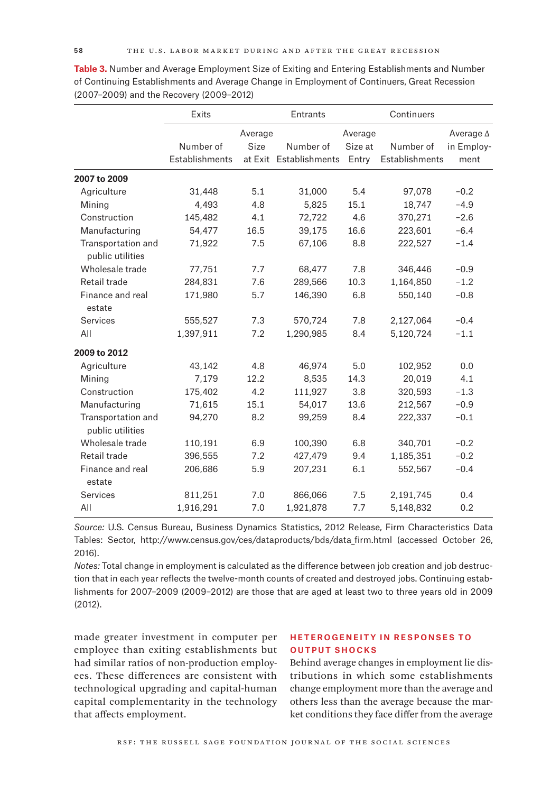|                                        | Exits          |         | Entrants               |         | Continuers     |                  |
|----------------------------------------|----------------|---------|------------------------|---------|----------------|------------------|
|                                        |                | Average |                        | Average |                | Average $\Delta$ |
|                                        | Number of      | Size    | Number of              | Size at | Number of      | in Employ-       |
|                                        | Establishments |         | at Exit Establishments | Entry   | Establishments | ment             |
| 2007 to 2009                           |                |         |                        |         |                |                  |
| Agriculture                            | 31,448         | 5.1     | 31,000                 | 5.4     | 97,078         | $-0.2$           |
| Mining                                 | 4,493          | 4.8     | 5,825                  | 15.1    | 18,747         | $-4.9$           |
| Construction                           | 145,482        | 4.1     | 72,722                 | 4.6     | 370,271        | $-2.6$           |
| Manufacturing                          | 54,477         | 16.5    | 39,175                 | 16.6    | 223,601        | $-6.4$           |
| Transportation and<br>public utilities | 71,922         | 7.5     | 67,106                 | 8.8     | 222,527        | $-1.4$           |
| Wholesale trade                        | 77,751         | 7.7     | 68,477                 | 7.8     | 346,446        | $-0.9$           |
| Retail trade                           | 284,831        | 7.6     | 289,566                | 10.3    | 1,164,850      | $-1.2$           |
| Finance and real<br>estate             | 171,980        | 5.7     | 146,390                | 6.8     | 550,140        | $-0.8$           |
| <b>Services</b>                        | 555,527        | 7.3     | 570,724                | 7.8     | 2,127,064      | $-0.4$           |
| All                                    | 1,397,911      | 7.2     | 1,290,985              | 8.4     | 5,120,724      | $-1.1$           |
| 2009 to 2012                           |                |         |                        |         |                |                  |
| Agriculture                            | 43,142         | 4.8     | 46,974                 | 5.0     | 102,952        | 0.0              |
| Mining                                 | 7,179          | 12.2    | 8,535                  | 14.3    | 20,019         | 4.1              |
| Construction                           | 175,402        | 4.2     | 111,927                | 3.8     | 320,593        | $-1.3$           |
| Manufacturing                          | 71,615         | 15.1    | 54,017                 | 13.6    | 212,567        | $-0.9$           |
| Transportation and<br>public utilities | 94,270         | 8.2     | 99,259                 | 8.4     | 222,337        | $-0.1$           |
| Wholesale trade                        | 110,191        | 6.9     | 100,390                | 6.8     | 340,701        | $-0.2$           |
| Retail trade                           | 396,555        | 7.2     | 427,479                | 9.4     | 1,185,351      | $-0.2$           |
| Finance and real<br>estate             | 206,686        | 5.9     | 207,231                | 6.1     | 552,567        | $-0.4$           |
| <b>Services</b>                        | 811,251        | 7.0     | 866,066                | 7.5     | 2,191,745      | 0.4              |
| All                                    | 1,916,291      | 7.0     | 1,921,878              | 7.7     | 5,148,832      | 0.2              |

**Table 3.** Number and Average Employment Size of Exiting and Entering Establishments and Number of Continuing Establishments and Average Change in Employment of Continuers, Great Recession (2007–2009) and the Recovery (2009–2012)

*Source:* U.S. Census Bureau, Business Dynamics Statistics, 2012 Release, Firm Characteristics Data Tables: Sector, [http://www.census.gov/ces/dataproducts/bds/data\\_firm.html](http://www.census.gov/ces/dataproducts/bds/data_firm.html) (accessed October 26, 2016).

*Notes:* Total change in employment is calculated as the difference between job creation and job destruction that in each year reflects the twelve-month counts of created and destroyed jobs. Continuing establishments for 2007–2009 (2009–2012) are those that are aged at least two to three years old in 2009 (2012).

made greater investment in computer per employee than exiting establishments but had similar ratios of non-production employees. These differences are consistent with technological upgrading and capital-human capital complementarity in the technology that affects employment.

## Heterogeneity in Responses to Output Shocks

Behind average changes in employment lie distributions in which some establishments change employment more than the average and others less than the average because the market conditions they face differ from the average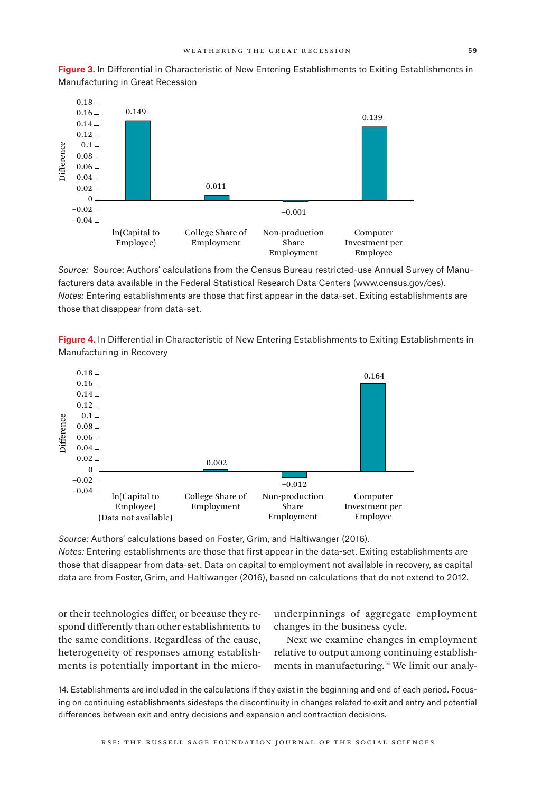**Figure 3.** ln Differential in Characteristic of New Entering Establishments to Exiting Establishments in Manufacturing in Great Recession



*Source:* Source: Authors' calculations from the Census Bureau restricted-use Annual Survey of Manufacturers data available in the Federal Statistical Research Data Centers [\(www.census.gov/ces\).](www.census.gov/ces) *Notes:* Entering establishments are those that first appear in the data-set. Exiting establishments are those that disappear from data-set.

**Figure 4.** ln Differential in Characteristic of New Entering Establishments to Exiting Establishments in Manufacturing in Recovery



*Source:* Authors' calculations based on Foster, Grim, and Haltiwanger (2016). *Notes:* Entering establishments are those that first appear in the data-set. Exiting establishments are those that disappear from data-set. Data on capital to employment not available in recovery, as capital data are from Foster, Grim, and Haltiwanger (2016), based on calculations that do not extend to 2012.

or their technologies differ, or because they respond differently than other establishments to the same conditions. Regardless of the cause, heterogeneity of responses among establishments is potentially important in the micro-

underpinnings of aggregate employment changes in the business cycle.

Next we examine changes in employment relative to output among continuing establishments in manufacturing.14 We limit our analy-

14. Establishments are included in the calculations if they exist in the beginning and end of each period. Focusing on continuing establishments sidesteps the discontinuity in changes related to exit and entry and potential differences between exit and entry decisions and expansion and contraction decisions.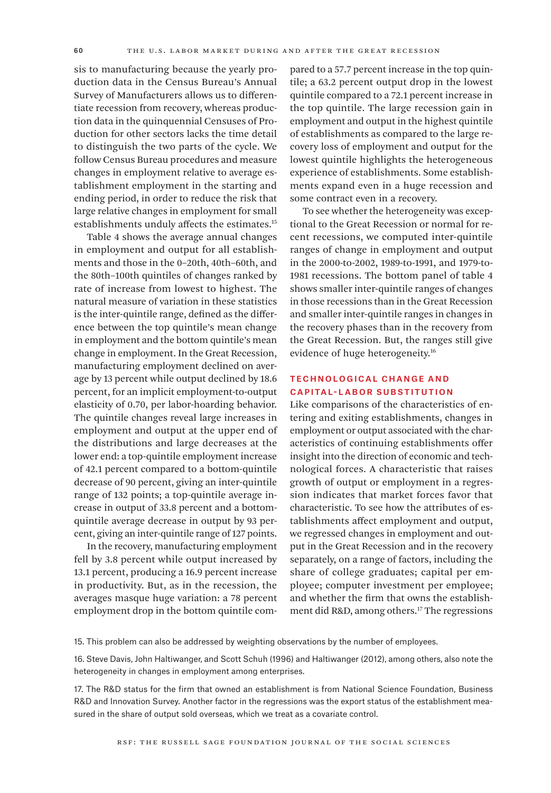sis to manufacturing because the yearly production data in the Census Bureau's Annual Survey of Manufacturers allows us to differentiate recession from recovery, whereas production data in the quinquennial Censuses of Production for other sectors lacks the time detail to distinguish the two parts of the cycle. We follow Census Bureau procedures and measure changes in employment relative to average establishment employment in the starting and ending period, in order to reduce the risk that large relative changes in employment for small establishments unduly affects the estimates.15

Table 4 shows the average annual changes in employment and output for all establishments and those in the 0–20th, 40th–60th, and the 80th–100th quintiles of changes ranked by rate of increase from lowest to highest. The natural measure of variation in these statistics is the inter-quintile range, defined as the difference between the top quintile's mean change in employment and the bottom quintile's mean change in employment. In the Great Recession, manufacturing employment declined on average by 13 percent while output declined by 18.6 percent, for an implicit employment-to-output elasticity of 0.70, per labor-hoarding behavior. The quintile changes reveal large increases in employment and output at the upper end of the distributions and large decreases at the lower end: a top-quintile employment increase of 42.1 percent compared to a bottom-quintile decrease of 90 percent, giving an inter-quintile range of 132 points; a top-quintile average increase in output of 33.8 percent and a bottomquintile average decrease in output by 93 percent, giving an inter-quintile range of 127 points.

In the recovery, manufacturing employment fell by 3.8 percent while output increased by 13.1 percent, producing a 16.9 percent increase in productivity. But, as in the recession, the averages masque huge variation: a 78 percent employment drop in the bottom quintile compared to a 57.7 percent increase in the top quintile; a 63.2 percent output drop in the lowest quintile compared to a 72.1 percent increase in the top quintile. The large recession gain in employment and output in the highest quintile of establishments as compared to the large recovery loss of employment and output for the lowest quintile highlights the heterogeneous experience of establishments. Some establishments expand even in a huge recession and some contract even in a recovery.

To see whether the heterogeneity was exceptional to the Great Recession or normal for recent recessions, we computed inter-quintile ranges of change in employment and output in the 2000-to-2002, 1989-to-1991, and 1979-to-1981 recessions. The bottom panel of table 4 shows smaller inter-quintile ranges of changes in those recessions than in the Great Recession and smaller inter-quintile ranges in changes in the recovery phases than in the recovery from the Great Recession. But, the ranges still give evidence of huge heterogeneity.16

# Technological Change and Capital-Labor Substitution

Like comparisons of the characteristics of entering and exiting establishments, changes in employment or output associated with the characteristics of continuing establishments offer insight into the direction of economic and technological forces. A characteristic that raises growth of output or employment in a regression indicates that market forces favor that characteristic. To see how the attributes of establishments affect employment and output, we regressed changes in employment and output in the Great Recession and in the recovery separately, on a range of factors, including the share of college graduates; capital per employee; computer investment per employee; and whether the firm that owns the establishment did R&D, among others.17 The regressions

15. This problem can also be addressed by weighting observations by the number of employees.

16. Steve Davis, John Haltiwanger, and Scott Schuh (1996) and Haltiwanger (2012), among others, also note the heterogeneity in changes in employment among enterprises.

17. The R&D status for the firm that owned an establishment is from National Science Foundation, Business R&D and Innovation Survey. Another factor in the regressions was the export status of the establishment measured in the share of output sold overseas, which we treat as a covariate control.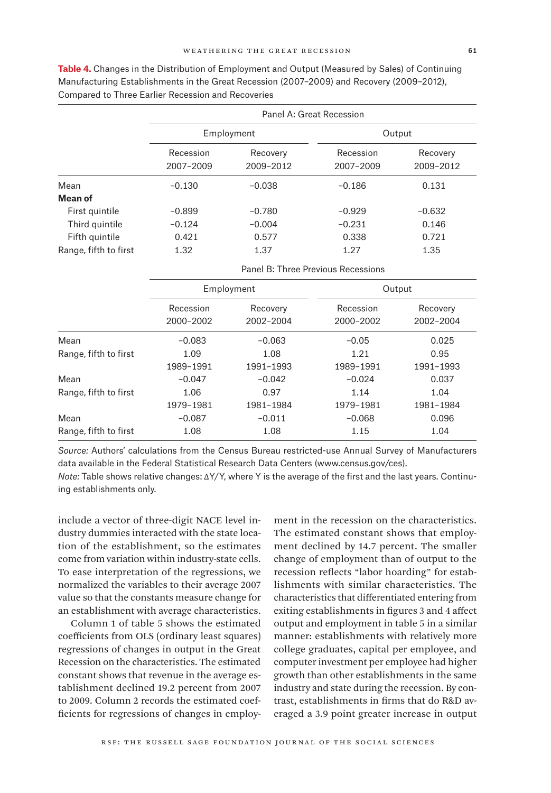|                       | Panel A: Great Recession |                       |                        |                       |  |  |
|-----------------------|--------------------------|-----------------------|------------------------|-----------------------|--|--|
|                       |                          | Employment            | Output                 |                       |  |  |
|                       | Recession<br>2007-2009   | Recovery<br>2009-2012 | Recession<br>2007-2009 | Recovery<br>2009-2012 |  |  |
| Mean                  | $-0.130$                 | $-0.038$              | $-0.186$               | 0.131                 |  |  |
| Mean of               |                          |                       |                        |                       |  |  |
| First quintile        | $-0.899$                 | $-0.780$              | $-0.929$               | $-0.632$              |  |  |
| Third quintile        | $-0.124$                 | $-0.004$              | $-0.231$               | 0.146                 |  |  |
| Fifth quintile        | 0.421                    | 0.577                 | 0.338                  | 0.721                 |  |  |
| Range, fifth to first | 1.32                     | 1.37                  | 1.27                   | 1.35                  |  |  |

**Table 4.** Changes in the Distribution of Employment and Output (Measured by Sales) of Continuing Manufacturing Establishments in the Great Recession (2007–2009) and Recovery (2009–2012), Compared to Three Earlier Recession and Recoveries

|                       | Panel B: Three Previous Recessions |                       |                        |                       |  |
|-----------------------|------------------------------------|-----------------------|------------------------|-----------------------|--|
|                       |                                    | Employment            | Output                 |                       |  |
|                       | Recession<br>2000-2002             | Recovery<br>2002-2004 | Recession<br>2000-2002 | Recovery<br>2002-2004 |  |
| Mean                  | $-0.083$                           | $-0.063$              | $-0.05$                | 0.025                 |  |
| Range, fifth to first | 1.09                               | 1.08                  | 1.21                   | 0.95                  |  |
|                       | 1989-1991                          | 1991-1993             | 1989-1991              | 1991-1993             |  |
| Mean                  | $-0.047$                           | $-0.042$              | $-0.024$               | 0.037                 |  |
| Range, fifth to first | 1.06                               | 0.97                  | 1.14                   | 1.04                  |  |
|                       | 1979-1981                          | 1981-1984             | 1979-1981              | 1981-1984             |  |
| Mean                  | $-0.087$                           | $-0.011$              | $-0.068$               | 0.096                 |  |
| Range, fifth to first | 1.08                               | 1.08                  | 1.15                   | 1.04                  |  |

*Source:* Authors' calculations from the Census Bureau restricted-use Annual Survey of Manufacturers data available in the Federal Statistical Research Data Centers [\(www.census.gov/ces\).](www.census.gov/ces)

*Note:* Table shows relative changes: ΔY/Y, where Y is the average of the first and the last years. Continuing establishments only.

include a vector of three-digit NACE level industry dummies interacted with the state location of the establishment, so the estimates come from variation within industry-state cells. To ease interpretation of the regressions, we normalized the variables to their average 2007 value so that the constants measure change for an establishment with average characteristics.

Column 1 of table 5 shows the estimated coefficients from OLS (ordinary least squares) regressions of changes in output in the Great Recession on the characteristics. The estimated constant shows that revenue in the average establishment declined 19.2 percent from 2007 to 2009. Column 2 records the estimated coefficients for regressions of changes in employment in the recession on the characteristics. The estimated constant shows that employment declined by 14.7 percent. The smaller change of employment than of output to the recession reflects "labor hoarding" for establishments with similar characteristics. The characteristics that differentiated entering from exiting establishments in figures 3 and 4 affect output and employment in table 5 in a similar manner: establishments with relatively more college graduates, capital per employee, and computer investment per employee had higher growth than other establishments in the same industry and state during the recession. By contrast, establishments in firms that do R&D averaged a 3.9 point greater increase in output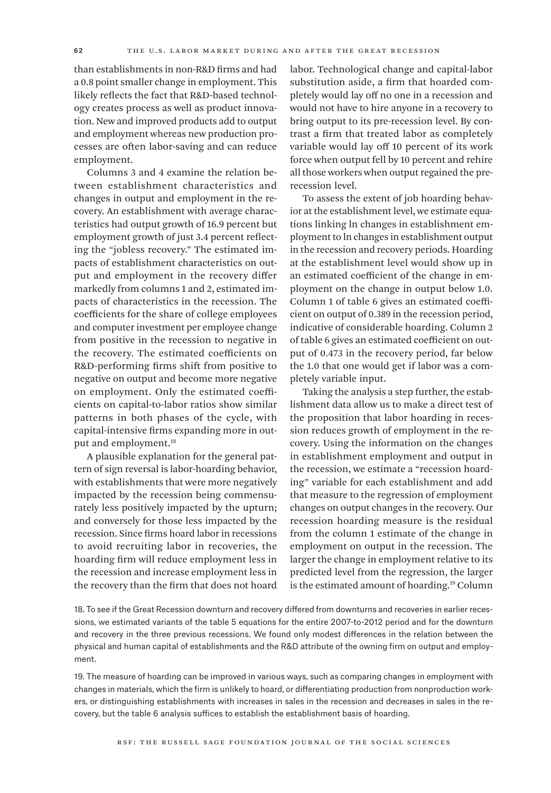than establishments in non-R&D firms and had a 0.8 point smaller change in employment. This likely reflects the fact that R&D-based technology creates process as well as product innovation. New and improved products add to output and employment whereas new production processes are often labor-saving and can reduce employment.

Columns 3 and 4 examine the relation between establishment characteristics and changes in output and employment in the recovery. An establishment with average characteristics had output growth of 16.9 percent but employment growth of just 3.4 percent reflecting the "jobless recovery." The estimated impacts of establishment characteristics on output and employment in the recovery differ markedly from columns 1 and 2, estimated impacts of characteristics in the recession. The coefficients for the share of college employees and computer investment per employee change from positive in the recession to negative in the recovery. The estimated coefficients on R&D-performing firms shift from positive to negative on output and become more negative on employment. Only the estimated coefficients on capital-to-labor ratios show similar patterns in both phases of the cycle, with capital-intensive firms expanding more in output and employment.<sup>18</sup>

A plausible explanation for the general pattern of sign reversal is labor-hoarding behavior, with establishments that were more negatively impacted by the recession being commensurately less positively impacted by the upturn; and conversely for those less impacted by the recession. Since firms hoard labor in recessions to avoid recruiting labor in recoveries, the hoarding firm will reduce employment less in the recession and increase employment less in the recovery than the firm that does not hoard

labor. Technological change and capital-labor substitution aside, a firm that hoarded completely would lay off no one in a recession and would not have to hire anyone in a recovery to bring output to its pre-recession level. By contrast a firm that treated labor as completely variable would lay off 10 percent of its work force when output fell by 10 percent and rehire all those workers when output regained the prerecession level.

To assess the extent of job hoarding behavior at the establishment level, we estimate equations linking ln changes in establishment employment to ln changes in establishment output in the recession and recovery periods. Hoarding at the establishment level would show up in an estimated coefficient of the change in employment on the change in output below 1.0. Column 1 of table 6 gives an estimated coefficient on output of 0.389 in the recession period, indicative of considerable hoarding. Column 2 of table 6 gives an estimated coefficient on output of 0.473 in the recovery period, far below the 1.0 that one would get if labor was a completely variable input.

Taking the analysis a step further, the establishment data allow us to make a direct test of the proposition that labor hoarding in recession reduces growth of employment in the recovery. Using the information on the changes in establishment employment and output in the recession, we estimate a "recession hoarding" variable for each establishment and add that measure to the regression of employment changes on output changes in the recovery. Our recession hoarding measure is the residual from the column 1 estimate of the change in employment on output in the recession. The larger the change in employment relative to its predicted level from the regression, the larger is the estimated amount of hoarding.19 Column

18. To see if the Great Recession downturn and recovery differed from downturns and recoveries in earlier recessions, we estimated variants of the table 5 equations for the entire 2007-to-2012 period and for the downturn and recovery in the three previous recessions. We found only modest differences in the relation between the physical and human capital of establishments and the R&D attribute of the owning firm on output and employment.

19. The measure of hoarding can be improved in various ways, such as comparing changes in employment with changes in materials, which the firm is unlikely to hoard, or differentiating production from nonproduction workers, or distinguishing establishments with increases in sales in the recession and decreases in sales in the recovery, but the table 6 analysis suffices to establish the establishment basis of hoarding.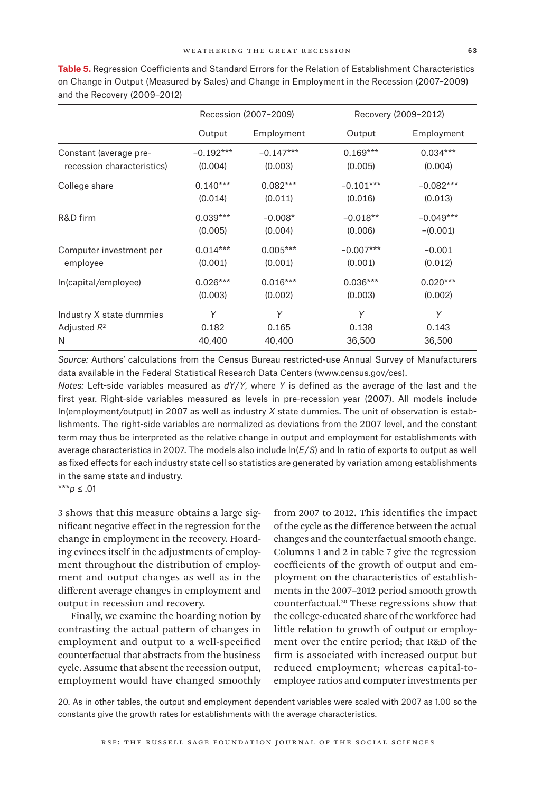|                            |             | Recession (2007-2009) | Recovery (2009-2012) |             |  |
|----------------------------|-------------|-----------------------|----------------------|-------------|--|
|                            | Output      | Employment            | Output               | Employment  |  |
| Constant (average pre-     | $-0.192***$ | $-0.147***$           | $0.169***$           | $0.034***$  |  |
| recession characteristics) | (0.004)     | (0.003)               | (0.005)              | (0.004)     |  |
| College share              | $0.140***$  | $0.082***$            | $-0.101***$          | $-0.082***$ |  |
|                            | (0.014)     | (0.011)               | (0.016)              | (0.013)     |  |
| R&D firm                   | $0.039***$  | $-0.008*$             | $-0.018**$           | $-0.049***$ |  |
|                            | (0.005)     | (0.004)               | (0.006)              | $-(0.001)$  |  |
| Computer investment per    | $0.014***$  | $0.005***$            | $-0.007***$          | $-0.001$    |  |
| employee                   | (0.001)     | (0.001)               | (0.001)              | (0.012)     |  |
| In(capital/employee)       | $0.026***$  | $0.016***$            | $0.036***$           | $0.020***$  |  |
|                            | (0.003)     | (0.002)               | (0.003)              | (0.002)     |  |
| Industry X state dummies   | Υ           | Y                     | Y                    | Y           |  |
| Adjusted $R^2$             | 0.182       | 0.165                 | 0.138                | 0.143       |  |
| N                          | 40,400      | 40,400                | 36,500               | 36,500      |  |

**Table 5.** Regression Coefficients and Standard Errors for the Relation of Establishment Characteristics on Change in Output (Measured by Sales) and Change in Employment in the Recession (2007–2009) and the Recovery (2009–2012)

*Source:* Authors' calculations from the Census Bureau restricted-use Annual Survey of Manufacturers data available in the Federal Statistical Research Data Centers [\(www.census.gov/ces\)](www.census.gov/ces).

*Notes:* Left-side variables measured as *dY*/*Y*, where *Y* is defined as the average of the last and the first year. Right-side variables measured as levels in pre-recession year (2007). All models include ln(employment/output) in 2007 as well as industry *X* state dummies. The unit of observation is establishments. The right-side variables are normalized as deviations from the 2007 level, and the constant term may thus be interpreted as the relative change in output and employment for establishments with average characteristics in 2007. The models also include ln(*E*/*S*) and ln ratio of exports to output as well as fixed effects for each industry state cell so statistics are generated by variation among establishments in the same state and industry.

\*\*\**p* ≤ .01

3 shows that this measure obtains a large significant negative effect in the regression for the change in employment in the recovery. Hoarding evinces itself in the adjustments of employment throughout the distribution of employment and output changes as well as in the different average changes in employment and output in recession and recovery.

Finally, we examine the hoarding notion by contrasting the actual pattern of changes in employment and output to a well-specified counterfactual that abstracts from the business cycle. Assume that absent the recession output, employment would have changed smoothly

from 2007 to 2012. This identifies the impact of the cycle as the difference between the actual changes and the counterfactual smooth change. Columns 1 and 2 in table 7 give the regression coefficients of the growth of output and employment on the characteristics of establishments in the 2007–2012 period smooth growth counterfactual.20 These regressions show that the college-educated share of the workforce had little relation to growth of output or employment over the entire period; that R&D of the firm is associated with increased output but reduced employment; whereas capital-toemployee ratios and computer investments per

20. As in other tables, the output and employment dependent variables were scaled with 2007 as 1.00 so the constants give the growth rates for establishments with the average characteristics.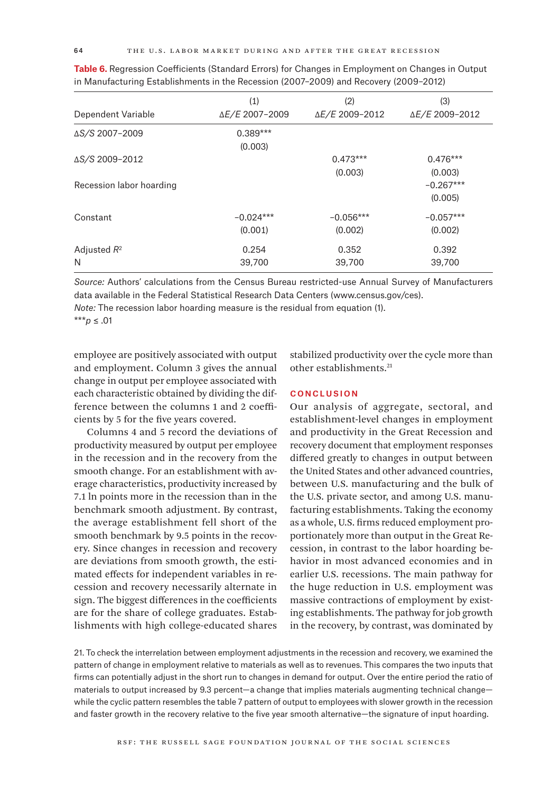| Dependent Variable       | (1)<br>ΔE/E 2007-2009  | (2)<br>ΔE/E 2009-2012  | (3)<br>ΔE/E 2009-2012  |
|--------------------------|------------------------|------------------------|------------------------|
| AS/S 2007-2009           | $0.389***$<br>(0.003)  |                        |                        |
| ΔS/S 2009-2012           |                        | $0.473***$<br>(0.003)  | $0.476***$<br>(0.003)  |
| Recession labor hoarding |                        |                        | $-0.267***$<br>(0.005) |
| Constant                 | $-0.024***$<br>(0.001) | $-0.056***$<br>(0.002) | $-0.057***$<br>(0.002) |
| Adjusted $R^2$<br>N      | 0.254<br>39,700        | 0.352<br>39,700        | 0.392<br>39,700        |

**Table 6.** Regression Coefficients (Standard Errors) for Changes in Employment on Changes in Output in Manufacturing Establishments in the Recession (2007–2009) and Recovery (2009–2012)

*Source:* Authors' calculations from the Census Bureau restricted-use Annual Survey of Manufacturers data available in the Federal Statistical Research Data Centers [\(www.census.gov/ces\)](www.census.gov/ces). *Note:* The recession labor hoarding measure is the residual from equation (1).

\*\*\**p* ≤ .01

employee are positively associated with output and employment. Column 3 gives the annual change in output per employee associated with each characteristic obtained by dividing the difference between the columns 1 and 2 coefficients by 5 for the five years covered.

Columns 4 and 5 record the deviations of productivity measured by output per employee in the recession and in the recovery from the smooth change. For an establishment with average characteristics, productivity increased by 7.1 ln points more in the recession than in the benchmark smooth adjustment. By contrast, the average establishment fell short of the smooth benchmark by 9.5 points in the recovery. Since changes in recession and recovery are deviations from smooth growth, the estimated effects for independent variables in recession and recovery necessarily alternate in sign. The biggest differences in the coefficients are for the share of college graduates. Establishments with high college-educated shares

stabilized productivity over the cycle more than other establishments.21

## **CONCLUSION**

Our analysis of aggregate, sectoral, and establishment-level changes in employment and productivity in the Great Recession and recovery document that employment responses differed greatly to changes in output between the United States and other advanced countries, between U.S. manufacturing and the bulk of the U.S. private sector, and among U.S. manufacturing establishments. Taking the economy as a whole, U.S. firms reduced employment proportionately more than output in the Great Recession, in contrast to the labor hoarding behavior in most advanced economies and in earlier U.S. recessions. The main pathway for the huge reduction in U.S. employment was massive contractions of employment by existing establishments. The pathway for job growth in the recovery, by contrast, was dominated by

21. To check the interrelation between employment adjustments in the recession and recovery, we examined the pattern of change in employment relative to materials as well as to revenues. This compares the two inputs that firms can potentially adjust in the short run to changes in demand for output. Over the entire period the ratio of materials to output increased by 9.3 percent—a change that implies materials augmenting technical change while the cyclic pattern resembles the table 7 pattern of output to employees with slower growth in the recession and faster growth in the recovery relative to the five year smooth alternative—the signature of input hoarding.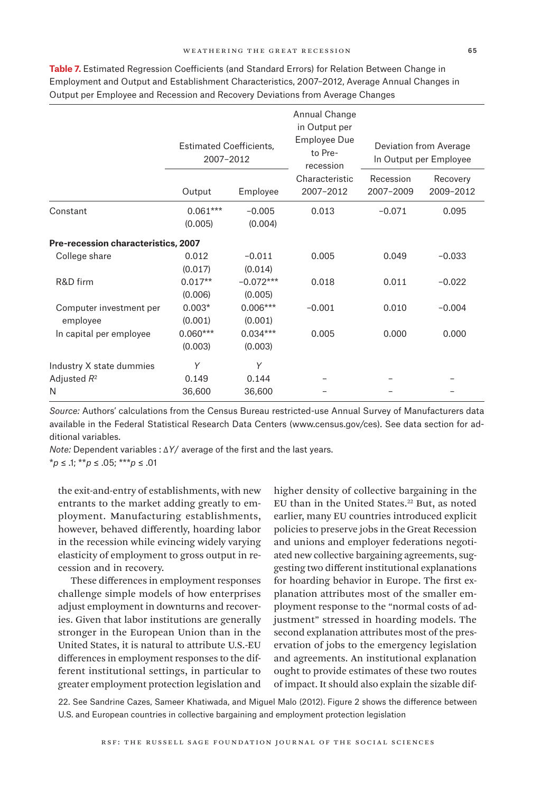|                                     | <b>Estimated Coefficients,</b><br>2007-2012 |                        | Annual Change<br>in Output per<br>Employee Due<br>to Pre-<br>recession | Deviation from Average<br>In Output per Employee |                       |
|-------------------------------------|---------------------------------------------|------------------------|------------------------------------------------------------------------|--------------------------------------------------|-----------------------|
|                                     | Output                                      | Employee               | Characteristic<br>2007-2012                                            | Recession<br>2007-2009                           | Recovery<br>2009-2012 |
| Constant                            | $0.061***$<br>(0.005)                       | $-0.005$<br>(0.004)    | 0.013                                                                  | $-0.071$                                         | 0.095                 |
| Pre-recession characteristics, 2007 |                                             |                        |                                                                        |                                                  |                       |
| College share                       | 0.012<br>(0.017)                            | $-0.011$<br>(0.014)    | 0.005                                                                  | 0.049                                            | $-0.033$              |
| R&D firm                            | $0.017**$<br>(0.006)                        | $-0.072***$<br>(0.005) | 0.018                                                                  | 0.011                                            | $-0.022$              |
| Computer investment per<br>employee | $0.003*$<br>(0.001)                         | $0.006***$<br>(0.001)  | $-0.001$                                                               | 0.010                                            | $-0.004$              |
| In capital per employee             | $0.060***$<br>(0.003)                       | $0.034***$<br>(0.003)  | 0.005                                                                  | 0.000                                            | 0.000                 |
| Industry X state dummies            | Y                                           | Y                      |                                                                        |                                                  |                       |
| Adjusted $R^2$                      | 0.149                                       | 0.144                  |                                                                        |                                                  |                       |
| N                                   | 36,600                                      | 36,600                 |                                                                        |                                                  |                       |

**Table 7.** Estimated Regression Coefficients (and Standard Errors) for Relation Between Change in Employment and Output and Establishment Characteristics, 2007–2012, Average Annual Changes in Output per Employee and Recession and Recovery Deviations from Average Changes

*Source:* Authors' calculations from the Census Bureau restricted-use Annual Survey of Manufacturers data available in the Federal Statistical Research Data Centers [\(www.census.gov/ces](www.census.gov/ces)). See data section for additional variables.

*Note:* Dependent variables : Δ*Y*/ average of the first and the last years.

\**p* ≤ .1; \*\**p* ≤ .05; \*\*\**p* ≤ .01

the exit-and-entry of establishments, with new entrants to the market adding greatly to employment. Manufacturing establishments, however, behaved differently, hoarding labor in the recession while evincing widely varying elasticity of employment to gross output in recession and in recovery.

These differences in employment responses challenge simple models of how enterprises adjust employment in downturns and recoveries. Given that labor institutions are generally stronger in the European Union than in the United States, it is natural to attribute U.S.-EU differences in employment responses to the different institutional settings, in particular to greater employment protection legislation and

higher density of collective bargaining in the EU than in the United States.<sup>22</sup> But, as noted earlier, many EU countries introduced explicit policies to preserve jobs in the Great Recession and unions and employer federations negotiated new collective bargaining agreements, suggesting two different institutional explanations for hoarding behavior in Europe. The first explanation attributes most of the smaller employment response to the "normal costs of adjustment" stressed in hoarding models. The second explanation attributes most of the preservation of jobs to the emergency legislation and agreements. An institutional explanation ought to provide estimates of these two routes of impact. It should also explain the sizable dif-

22. See Sandrine Cazes, Sameer Khatiwada, and Miguel Malo (2012). Figure 2 shows the difference between U.S. and European countries in collective bargaining and employment protection legislation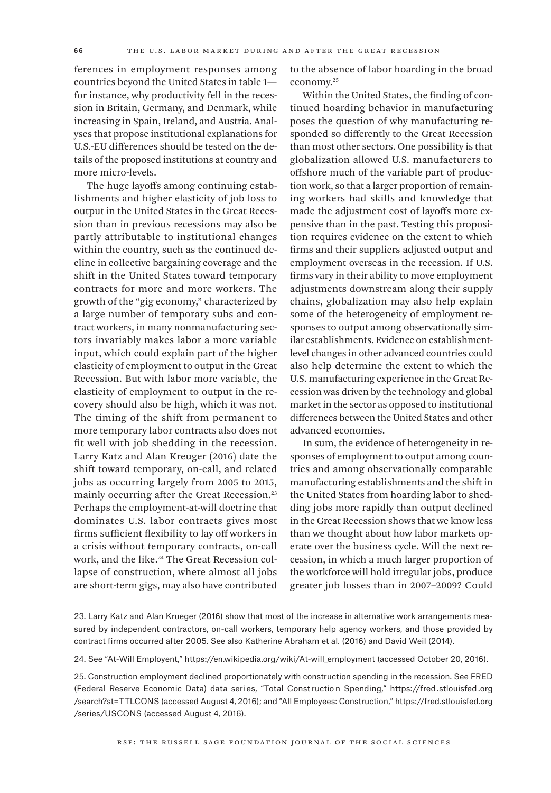ferences in employment responses among countries beyond the United States in table 1 for instance, why productivity fell in the recession in Britain, Germany, and Denmark, while increasing in Spain, Ireland, and Austria. Analyses that propose institutional explanations for U.S.-EU differences should be tested on the details of the proposed institutions at country and more micro-levels.

The huge layoffs among continuing establishments and higher elasticity of job loss to output in the United States in the Great Recession than in previous recessions may also be partly attributable to institutional changes within the country, such as the continued decline in collective bargaining coverage and the shift in the United States toward temporary contracts for more and more workers. The growth of the "gig economy," characterized by a large number of temporary subs and contract workers, in many nonmanufacturing sectors invariably makes labor a more variable input, which could explain part of the higher elasticity of employment to output in the Great Recession. But with labor more variable, the elasticity of employment to output in the recovery should also be high, which it was not. The timing of the shift from permanent to more temporary labor contracts also does not fit well with job shedding in the recession. Larry Katz and Alan Kreuger (2016) date the shift toward temporary, on-call, and related jobs as occurring largely from 2005 to 2015, mainly occurring after the Great Recession.23 Perhaps the employment-at-will doctrine that dominates U.S. labor contracts gives most firms sufficient flexibility to lay off workers in a crisis without temporary contracts, on-call work, and the like.<sup>24</sup> The Great Recession collapse of construction, where almost all jobs are short-term gigs, may also have contributed

to the absence of labor hoarding in the broad economy.25

Within the United States, the finding of continued hoarding behavior in manufacturing poses the question of why manufacturing responded so differently to the Great Recession than most other sectors. One possibility is that globalization allowed U.S. manufacturers to offshore much of the variable part of production work, so that a larger proportion of remaining workers had skills and knowledge that made the adjustment cost of layoffs more expensive than in the past. Testing this proposition requires evidence on the extent to which firms and their suppliers adjusted output and employment overseas in the recession. If U.S. firms vary in their ability to move employment adjustments downstream along their supply chains, globalization may also help explain some of the heterogeneity of employment responses to output among observationally similar establishments. Evidence on establishmentlevel changes in other advanced countries could also help determine the extent to which the U.S. manufacturing experience in the Great Recession was driven by the technology and global market in the sector as opposed to institutional differences between the United States and other advanced economies.

In sum, the evidence of heterogeneity in responses of employment to output among countries and among observationally comparable manufacturing establishments and the shift in the United States from hoarding labor to shedding jobs more rapidly than output declined in the Great Recession shows that we know less than we thought about how labor markets operate over the business cycle. Will the next recession, in which a much larger proportion of the workforce will hold irregular jobs, produce greater job losses than in 2007–2009? Could

24. See "At-Will Employent," [https://en.wikipedia.org/wiki/At-will\\_employment](https://en.wikipedia.org/wiki/At-will_employment) (accessed October 20, 2016).

25. Construction employment declined proportionately with construction spending in the recession. See FRED (Federal Reserve Economic Data) data seri es, "Total Const ructio n Spending," [https://fred.stlouisfed](https://fred.stlouisfed.org/search?st=TTLCONS) .org [/search?st=TTLCONS](https://fred.stlouisfed.org/search?st=TTLCONS) (accessed August 4, 2016); and "All Employees: Construction," [https://fred.stlouisfed.org](https://fred.stlouisfed.org/series/USCONS) [/series/USCONS](https://fred.stlouisfed.org/series/USCONS) (accessed August 4, 2016).

<sup>23.</sup> Larry Katz and Alan Krueger (2016) show that most of the increase in alternative work arrangements measured by independent contractors, on-call workers, temporary help agency workers, and those provided by contract firms occurred after 2005. See also Katherine Abraham et al. (2016) and David Weil (2014).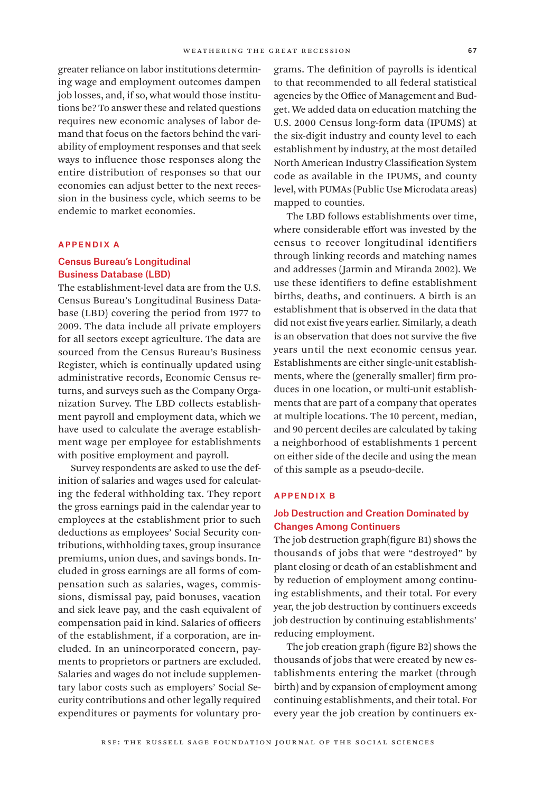greater reliance on labor institutions determining wage and employment outcomes dampen job losses, and, if so, what would those institutions be? To answer these and related questions requires new economic analyses of labor demand that focus on the factors behind the variability of employment responses and that seek ways to influence those responses along the entire distribution of responses so that our economies can adjust better to the next recession in the business cycle, which seems to be endemic to market economies.

#### Appendix A

## Census Bureau's Longitudinal Business Database (LBD)

The establishment-level data are from the U.S. Census Bureau's Longitudinal Business Database (LBD) covering the period from 1977 to 2009. The data include all private employers for all sectors except agriculture. The data are sourced from the Census Bureau's Business Register, which is continually updated using administrative records, Economic Census returns, and surveys such as the Company Organization Survey. The LBD collects establishment payroll and employment data, which we have used to calculate the average establishment wage per employee for establishments with positive employment and payroll.

Survey respondents are asked to use the definition of salaries and wages used for calculating the federal withholding tax. They report the gross earnings paid in the calendar year to employees at the establishment prior to such deductions as employees' Social Security contributions, withholding taxes, group insurance premiums, union dues, and savings bonds. Included in gross earnings are all forms of compensation such as salaries, wages, commissions, dismissal pay, paid bonuses, vacation and sick leave pay, and the cash equivalent of compensation paid in kind. Salaries of officers of the establishment, if a corporation, are included. In an unincorporated concern, payments to proprietors or partners are excluded. Salaries and wages do not include supplementary labor costs such as employers' Social Security contributions and other legally required expenditures or payments for voluntary programs. The definition of payrolls is identical to that recommended to all federal statistical agencies by the Office of Management and Budget. We added data on education matching the U.S. 2000 Census long-form data (IPUMS) at the six-digit industry and county level to each establishment by industry, at the most detailed North American Industry Classification System code as available in the IPUMS, and county level, with PUMAs (Public Use Microdata areas) mapped to counties.

The LBD follows establishments over time, where considerable effort was invested by the census to recover longitudinal identifiers through linking records and matching names and addresses (Jarmin and Miranda 2002). We use these identifiers to define establishment births, deaths, and continuers. A birth is an establishment that is observed in the data that did not exist five years earlier. Similarly, a death is an observation that does not survive the five years until the next economic census year. Establishments are either single-unit establishments, where the (generally smaller) firm produces in one location, or multi-unit establishments that are part of a company that operates at multiple locations. The 10 percent, median, and 90 percent deciles are calculated by taking a neighborhood of establishments 1 percent on either side of the decile and using the mean of this sample as a pseudo-decile.

## Appendix B

# Job Destruction and Creation Dominated by Changes Among Continuers

The job destruction graph(figure B1) shows the thousands of jobs that were "destroyed" by plant closing or death of an establishment and by reduction of employment among continuing establishments, and their total. For every year, the job destruction by continuers exceeds job destruction by continuing establishments' reducing employment.

The job creation graph (figure B2) shows the thousands of jobs that were created by new establishments entering the market (through birth) and by expansion of employment among continuing establishments, and their total. For every year the job creation by continuers ex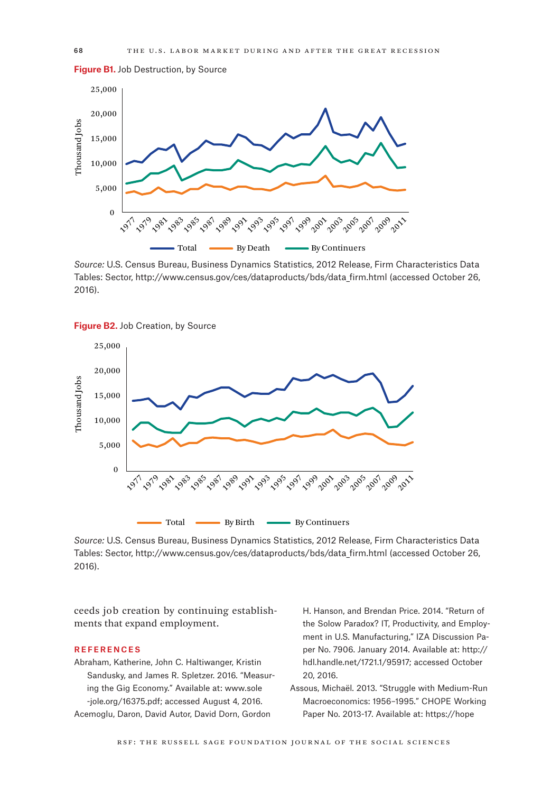**Figure B1.** Job Destruction, by Source



*Source:* U.S. Census Bureau, Business Dynamics Statistics, 2012 Release, Firm Characteristics Data Tables: Sector, [http://www.census.gov/ces/dataproducts/bds/data\\_firm.html](http://www.census.gov/ces/dataproducts/bds/data_firm.html) (accessed October 26, 2016).





*Source:* U.S. Census Bureau, Business Dynamics Statistics, 2012 Release, Firm Characteristics Data Tables: Sector, [http://www.census.gov/ces/dataproducts/bds/data\\_firm.html](mailto:http://www.census.gov/ces/dataproducts/bds/data_firm.html?subject=) (accessed October 26, 2016).

ceeds job creation by continuing establishments that expand employment.

#### **REFERENCES**

Abraham, Katherine, John C. Haltiwanger, Kristin Sandusky, and James R. Spletzer. 2016. "Measuring the Gig Economy." Available at: [www.sole](www.sole-jole.org/16375.pdf) [-jole.org/16375.pdf](www.sole-jole.org/16375.pdf); accessed August 4, 2016. Acemoglu, Daron, David Autor, David Dorn, Gordon

H. Hanson, and Brendan Price. 2014. "Return of the Solow Paradox? IT, Productivity, and Employment in U.S. Manufacturing," IZA Discussion Paper No. 7906. January 2014. Available at: [http://](http://hdl.handle.net/1721.1/95917) [hdl.handle.net/1721.1/95917](http://hdl.handle.net/1721.1/95917); accessed October 20, 2016.

Assous, Michaël. 2013. "Struggle with Medium-Run Macroeconomics: 1956–1995." CHOPE Working Paper No. 2013-17. Available at: [https://hope](https://hope.econ.duke.edu/sites/hope.econ.duke.edu/files/Assous%20Sept%2013%202013-2.pdf)